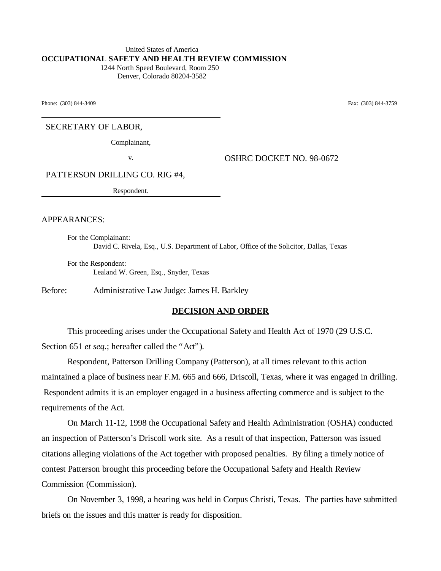#### United States of America **OCCUPATIONAL SAFETY AND HEALTH REVIEW COMMISSION** 1244 North Speed Boulevard, Room 250

Denver, Colorado 80204-3582

Phone: (303) 844-3409 Fax: (303) 844-3759

SECRETARY OF LABOR,

Complainant,

v. Same **OSHRC DOCKET NO. 98-0672** 

PATTERSON DRILLING CO. RIG #4,

Respondent.

APPEARANCES:

For the Complainant: David C. Rivela, Esq., U.S. Department of Labor, Office of the Solicitor, Dallas, Texas

For the Respondent: Lealand W. Green, Esq., Snyder, Texas

Before: Administrative Law Judge: James H. Barkley

#### **DECISION AND ORDER**

This proceeding arises under the Occupational Safety and Health Act of 1970 (29 U.S.C. Section 651 *et seq.*; hereafter called the "Act").

Respondent, Patterson Drilling Company (Patterson), at all times relevant to this action maintained a place of business near F.M. 665 and 666, Driscoll, Texas, where it was engaged in drilling. Respondent admits it is an employer engaged in a business affecting commerce and is subject to the requirements of the Act.

On March 11-12, 1998 the Occupational Safety and Health Administration (OSHA) conducted an inspection of Patterson's Driscoll work site. As a result of that inspection, Patterson was issued citations alleging violations of the Act together with proposed penalties. By filing a timely notice of contest Patterson brought this proceeding before the Occupational Safety and Health Review Commission (Commission).

On November 3, 1998, a hearing was held in Corpus Christi, Texas. The parties have submitted briefs on the issues and this matter is ready for disposition.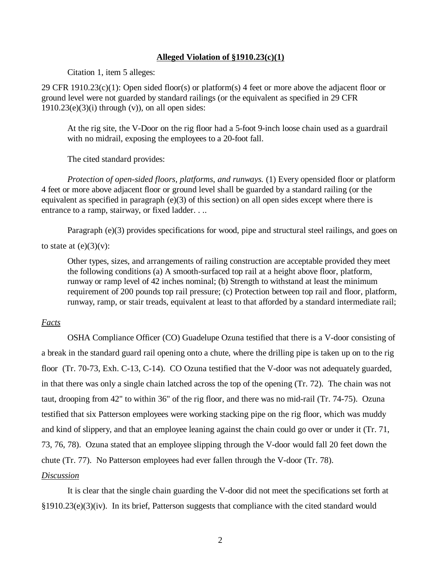## **Alleged Violation of §1910.23(c)(1)**

Citation 1, item 5 alleges:

29 CFR 1910.23(c)(1): Open sided floor(s) or platform(s) 4 feet or more above the adjacent floor or ground level were not guarded by standard railings (or the equivalent as specified in 29 CFR  $1910.23(e)(3)(i)$  through  $(v)$ ), on all open sides:

At the rig site, the V-Door on the rig floor had a 5-foot 9-inch loose chain used as a guardrail with no midrail, exposing the employees to a 20-foot fall.

The cited standard provides:

*Protection of open-sided floors, platforms, and runways.* (1) Every opensided floor or platform 4 feet or more above adjacent floor or ground level shall be guarded by a standard railing (or the equivalent as specified in paragraph (e)(3) of this section) on all open sides except where there is entrance to a ramp, stairway, or fixed ladder. . ..

Paragraph (e)(3) provides specifications for wood, pipe and structural steel railings, and goes on

# to state at  $(e)(3)(v)$ :

Other types, sizes, and arrangements of railing construction are acceptable provided they meet the following conditions (a) A smooth-surfaced top rail at a height above floor, platform, runway or ramp level of 42 inches nominal; (b) Strength to withstand at least the minimum requirement of 200 pounds top rail pressure; (c) Protection between top rail and floor, platform, runway, ramp, or stair treads, equivalent at least to that afforded by a standard intermediate rail;

# *Facts*

OSHA Compliance Officer (CO) Guadelupe Ozuna testified that there is a V-door consisting of a break in the standard guard rail opening onto a chute, where the drilling pipe is taken up on to the rig floor (Tr. 70-73, Exh. C-13, C-14). CO Ozuna testified that the V-door was not adequately guarded, in that there was only a single chain latched across the top of the opening (Tr. 72). The chain was not taut, drooping from 42" to within 36" of the rig floor, and there was no mid-rail (Tr. 74-75). Ozuna testified that six Patterson employees were working stacking pipe on the rig floor, which was muddy and kind of slippery, and that an employee leaning against the chain could go over or under it (Tr. 71, 73, 76, 78). Ozuna stated that an employee slipping through the V-door would fall 20 feet down the chute (Tr. 77). No Patterson employees had ever fallen through the V-door (Tr. 78). *Discussion*

It is clear that the single chain guarding the V-door did not meet the specifications set forth at  $§1910.23(e)(3)(iv)$ . In its brief, Patterson suggests that compliance with the cited standard would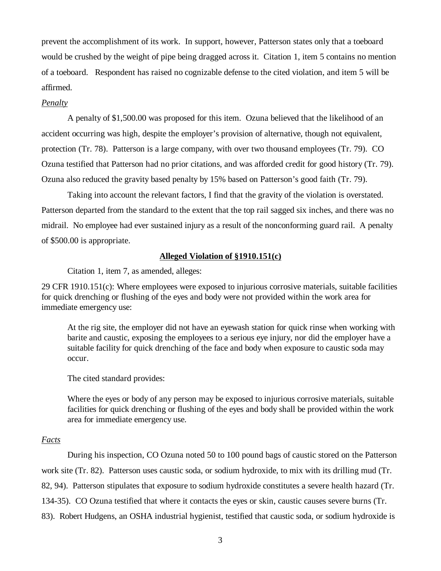prevent the accomplishment of its work. In support, however, Patterson states only that a toeboard would be crushed by the weight of pipe being dragged across it. Citation 1, item 5 contains no mention of a toeboard. Respondent has raised no cognizable defense to the cited violation, and item 5 will be affirmed.

# *Penalty*

A penalty of \$1,500.00 was proposed for this item. Ozuna believed that the likelihood of an accident occurring was high, despite the employer's provision of alternative, though not equivalent, protection (Tr. 78). Patterson is a large company, with over two thousand employees (Tr. 79). CO Ozuna testified that Patterson had no prior citations, and was afforded credit for good history (Tr. 79). Ozuna also reduced the gravity based penalty by 15% based on Patterson's good faith (Tr. 79).

Taking into account the relevant factors, I find that the gravity of the violation is overstated. Patterson departed from the standard to the extent that the top rail sagged six inches, and there was no midrail. No employee had ever sustained injury as a result of the nonconforming guard rail. A penalty of \$500.00 is appropriate.

# **Alleged Violation of §1910.151(c)**

Citation 1, item 7, as amended, alleges:

29 CFR 1910.151(c): Where employees were exposed to injurious corrosive materials, suitable facilities for quick drenching or flushing of the eyes and body were not provided within the work area for immediate emergency use:

At the rig site, the employer did not have an eyewash station for quick rinse when working with barite and caustic, exposing the employees to a serious eye injury, nor did the employer have a suitable facility for quick drenching of the face and body when exposure to caustic soda may occur.

The cited standard provides:

Where the eyes or body of any person may be exposed to injurious corrosive materials, suitable facilities for quick drenching or flushing of the eyes and body shall be provided within the work area for immediate emergency use.

## *Facts*

During his inspection, CO Ozuna noted 50 to 100 pound bags of caustic stored on the Patterson work site (Tr. 82). Patterson uses caustic soda, or sodium hydroxide, to mix with its drilling mud (Tr. 82, 94). Patterson stipulates that exposure to sodium hydroxide constitutes a severe health hazard (Tr. 134-35). CO Ozuna testified that where it contacts the eyes or skin, caustic causes severe burns (Tr. 83). Robert Hudgens, an OSHA industrial hygienist, testified that caustic soda, or sodium hydroxide is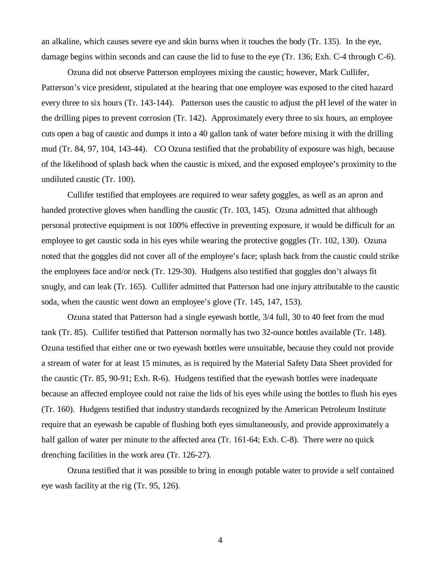an alkaline, which causes severe eye and skin burns when it touches the body (Tr. 135). In the eye, damage begins within seconds and can cause the lid to fuse to the eye (Tr. 136; Exh. C-4 through C-6).

Ozuna did not observe Patterson employees mixing the caustic; however, Mark Cullifer, Patterson's vice president, stipulated at the hearing that one employee was exposed to the cited hazard every three to six hours (Tr. 143-144). Patterson uses the caustic to adjust the pH level of the water in the drilling pipes to prevent corrosion (Tr. 142). Approximately every three to six hours, an employee cuts open a bag of caustic and dumps it into a 40 gallon tank of water before mixing it with the drilling mud (Tr. 84, 97, 104, 143-44). CO Ozuna testified that the probability of exposure was high, because of the likelihood of splash back when the caustic is mixed, and the exposed employee's proximity to the undiluted caustic (Tr. 100).

Cullifer testified that employees are required to wear safety goggles, as well as an apron and banded protective gloves when handling the caustic (Tr. 103, 145). Ozuna admitted that although personal protective equipment is not 100% effective in preventing exposure, it would be difficult for an employee to get caustic soda in his eyes while wearing the protective goggles (Tr. 102, 130). Ozuna noted that the goggles did not cover all of the employee's face; splash back from the caustic could strike the employees face and/or neck (Tr. 129-30). Hudgens also testified that goggles don't always fit snugly, and can leak (Tr. 165). Cullifer admitted that Patterson had one injury attributable to the caustic soda, when the caustic went down an employee's glove (Tr. 145, 147, 153).

Ozuna stated that Patterson had a single eyewash bottle, 3/4 full, 30 to 40 feet from the mud tank (Tr. 85). Cullifer testified that Patterson normally has two 32-ounce bottles available (Tr. 148). Ozuna testified that either one or two eyewash bottles were unsuitable, because they could not provide a stream of water for at least 15 minutes, as is required by the Material Safety Data Sheet provided for the caustic (Tr. 85, 90-91; Exh. R-6). Hudgens testified that the eyewash bottles were inadequate because an affected employee could not raise the lids of his eyes while using the bottles to flush his eyes (Tr. 160). Hudgens testified that industry standards recognized by the American Petroleum Institute require that an eyewash be capable of flushing both eyes simultaneously, and provide approximately a half gallon of water per minute to the affected area (Tr. 161-64; Exh. C-8). There were no quick drenching facilities in the work area (Tr. 126-27).

Ozuna testified that it was possible to bring in enough potable water to provide a self contained eye wash facility at the rig (Tr. 95, 126).

4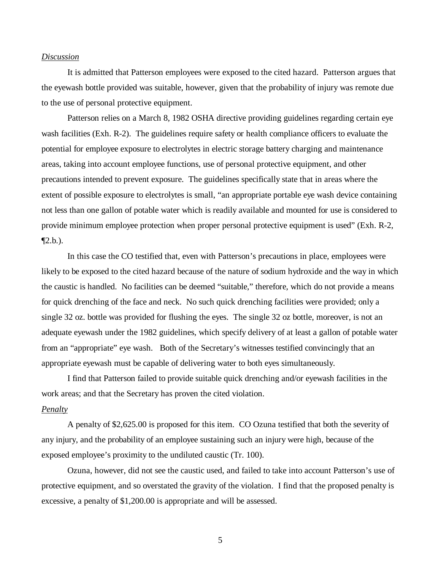#### *Discussion*

It is admitted that Patterson employees were exposed to the cited hazard. Patterson argues that the eyewash bottle provided was suitable, however, given that the probability of injury was remote due to the use of personal protective equipment.

Patterson relies on a March 8, 1982 OSHA directive providing guidelines regarding certain eye wash facilities (Exh. R-2). The guidelines require safety or health compliance officers to evaluate the potential for employee exposure to electrolytes in electric storage battery charging and maintenance areas, taking into account employee functions, use of personal protective equipment, and other precautions intended to prevent exposure. The guidelines specifically state that in areas where the extent of possible exposure to electrolytes is small, "an appropriate portable eye wash device containing not less than one gallon of potable water which is readily available and mounted for use is considered to provide minimum employee protection when proper personal protective equipment is used" (Exh. R-2,  $\P$ 2.b.).

In this case the CO testified that, even with Patterson's precautions in place, employees were likely to be exposed to the cited hazard because of the nature of sodium hydroxide and the way in which the caustic is handled. No facilities can be deemed "suitable," therefore, which do not provide a means for quick drenching of the face and neck. No such quick drenching facilities were provided; only a single 32 oz. bottle was provided for flushing the eyes. The single 32 oz bottle, moreover, is not an adequate eyewash under the 1982 guidelines, which specify delivery of at least a gallon of potable water from an "appropriate" eye wash. Both of the Secretary's witnesses testified convincingly that an appropriate eyewash must be capable of delivering water to both eyes simultaneously.

I find that Patterson failed to provide suitable quick drenching and/or eyewash facilities in the work areas; and that the Secretary has proven the cited violation.

#### *Penalty*

A penalty of \$2,625.00 is proposed for this item. CO Ozuna testified that both the severity of any injury, and the probability of an employee sustaining such an injury were high, because of the exposed employee's proximity to the undiluted caustic (Tr. 100).

Ozuna, however, did not see the caustic used, and failed to take into account Patterson's use of protective equipment, and so overstated the gravity of the violation. I find that the proposed penalty is excessive, a penalty of \$1,200.00 is appropriate and will be assessed.

5